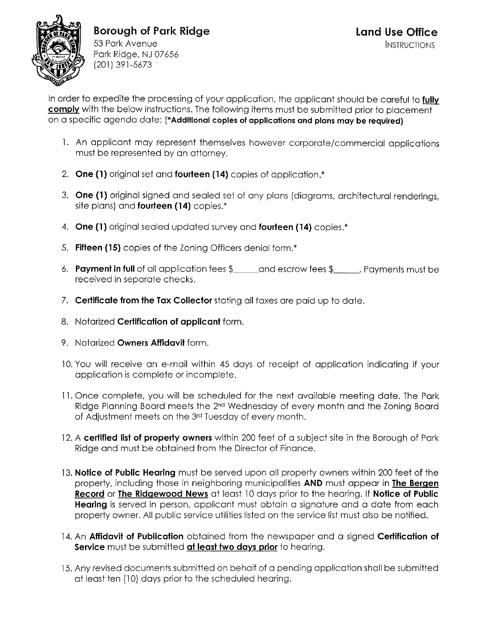

# **Borough of Park Ridge**

53 Park Avenue Park Ridge, NJ 07656 (201) 391-5673

In order to expedite the processing of your application, the applicant should be careful to **fully comply** with the below instructions. The following items must be submitted prior to placement on a specific agenda date: **(\*Additional copies of applications and plans may be required)** 

- l. An applicant may represent themselves however corporate/commercial applications must be represented by an attorney.
- 2. **One (1)** original set and **fourteen (14)** copies of application.\*
- 3. **One (1)** original signed and sealed set of any plans (diagrams, architectural renderings, site plans) and **fourteen (14)** copies.\*
- 4. **One (1)** original sealed updated survey and **fourteen (14)** copies.\*
- 5. **Fifteen (15)** copies of the Zoning Officers denial form.\*
- 6. **Payment in full** of all application fees \$ \_\_\_ and escrow fees \$ \_\_\_ . Payments must be received in separate checks.
- 7. **Certificate from the Tax Collector** stating all taxes are paid up to date.
- 8. Notarized **Certification of applicant** form.
- 9. Notarized **Owners Affidavit** form.
- l 0. You will receive an e-mail within 45 days of receipt of application indicating if your application is complete or incomplete.
- 11. Once complete, you will be scheduled for the next available meeting date. The Park Ridge Planning Board meets the 2<sup>nd</sup> Wednesday of every month and the Zoning Board of Adjustment meets on the 3rd Tuesday of every month.
- 12. A **certified list of property owners** within 200 feet of a subject site in the Borough of Park Ridge and must be obtained from the Director of Finance.
- 13. **Notice of Public Hearing** must be served upon all property owners within 200 feet of the property, including those in neighboring municipalities **AND** must appear in **The Bergen Record or The Ridgewood News** at least 10 days prior to the hearing. If Notice of Public **Hearing** is served in person, applicant must obtain a signature and a date from each property owner. All public service utilities listed on the service list must also be notified.
- 14. An **Affidavit of Publication** obtained from the newspaper and a signed **Certification of Service** must be submitted **at least two days prior** to hearing.
- 15. Any revised documents submitted on behalf of a pending application shall be submitted at least ten (10) days prior to the scheduled hearing.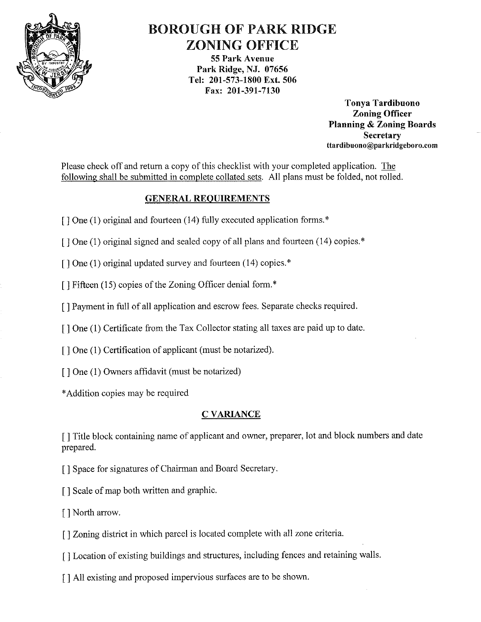

# BOROUGH OF PARK RIDGE ZONING OFFICE

55 Park Avenue Park Ridge, **NJ.** 07656 **Tel: 201-573-1800 Ext. 506 Fax: 201-391-**7130

> **Tonya Tardibuono Zoning Officer Planning** & **Zoning Boards Secretary**  ttardibuono@parkridgeboro.com

Please check off and return a copy of this checklist with your completed application. The following shall be submitted in complete collated sets. All plans must be folded, not rolled.

# **GENERAL REQUIREMENTS**

- [] One (1) original and fourteen (14) fully executed application forms.\*
- [] One (1) original signed and sealed copy of all plans and fourteen (14) copies.\*

[1 One (1) original updated survey and fourteen (14) copies.<sup>\*</sup>

[] Fifteen (15) copies of the Zoning Officer denial form.<sup>\*</sup>

[] Payment in full of all application and escrow fees. Separate checks required.

[ ] One (1) Certificate from the Tax Collector stating all taxes are paid up to date.

[ ] One (1) Certification of applicant (must be notarized).

[] One (1) Owners affidavit (must be notarized)

\* Addition copies may be required

# **CVARIANCE**

[ ] Title block containing name of applicant and owner, preparer, lot and block numbers and date prepared.

[] Space for signatures of Chairman and Board Secretary.

[ ] Scale of map both written and graphic.

[] North arrow.

[ ] Zoning district in which parcel is located complete with all zone criteria.

[ ] Location of existing buildings and structures, including fences and retaining walls.

[ ] All existing and proposed impervious surfaces are to be shown.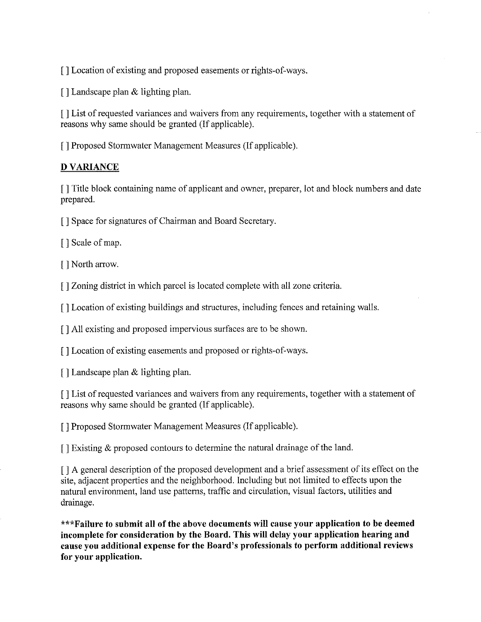[] Location of existing and proposed easements or rights-of-ways.

 $\lceil$  ] Landscape plan & lighting plan.

[ ] List of requested variances and waivers from any requirements, together with a statement of reasons why same should be granted (If applicable).

[ ] Proposed Stormwater Management Measures (If applicable).

# **DVARIANCE**

[ ] Title block containing name of applicant and owner, preparer, lot and block numbers and date prepared.

[] Space for signatures of Chairman and Board Secretary.

[ ] Scale of map.

[ ] North arrow.

[ ] Zoning district in which parcel is located complete with all zone criteria.

[ ] Location of existing buildings and structures, including fences and retaining walls.

[ ] All existing and proposed impervious surfaces are to be shown.

[ ] Location of existing easements and proposed or rights-of-ways.

[ ] Landscape plan & lighting plan.

[ ] List of requested variances and waivers from any requirements, together with a statement of reasons why same should be granted (If applicable).

[ ] Proposed Stormwater Management Measures (If applicable).

 $\lceil$ ] Existing & proposed contours to determine the natural drainage of the land.

[ ] A general description of the proposed development and a brief assessment of its effect on the site, adjacent properties and the neighborhood. Including but not limited to effects upon the natural environment, land use patterns, traffic and circulation, visual factors, utilities and drainage.

**\*\*\*Failure to submit all of the above documents will cause your application to be deemed incomplete for consideration by the Board. This will delay your application hearing and cause you additional expense for the Board's professionals to perform additional reviews for your application.**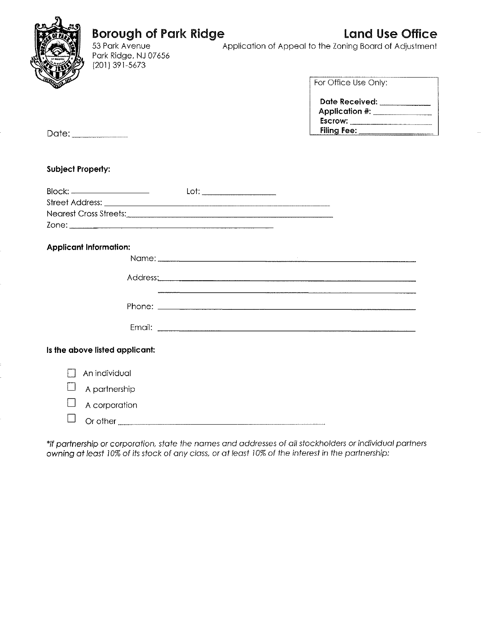

Park Ridge, NJ 07656 (201) 391-5673

**Borough of Park Ridge**<br>53 Park Avenue<br>Application of Appeal to the Zoning Board of Adjustment Application of Appeal to the Zoning Board of Adjustment

| For Office Use Only:               |  |
|------------------------------------|--|
| Date Received:<br>Application $#:$ |  |
| Escrow:                            |  |
| Filing Feet                        |  |

Date: **Filing Fe** 

# **Subject Property:**

| Zone: <u>www.communications.communications.com</u> | $\begin{tabular}{c} Lot: \end{tabular}$ |  |
|----------------------------------------------------|-----------------------------------------|--|
|                                                    |                                         |  |
| <b>Applicant Information:</b>                      |                                         |  |
|                                                    |                                         |  |
|                                                    |                                         |  |
|                                                    |                                         |  |
|                                                    |                                         |  |
|                                                    |                                         |  |
| Is the above listed applicant:                     |                                         |  |
| An individual                                      |                                         |  |
| A partnership                                      |                                         |  |
| A corporation                                      |                                         |  |
|                                                    |                                         |  |

\*If partnership or corporation, state the names and addresses of all stockholders or individual partners owning at least 10% of its stock of any class, or at least 10% of the interest in the partnership: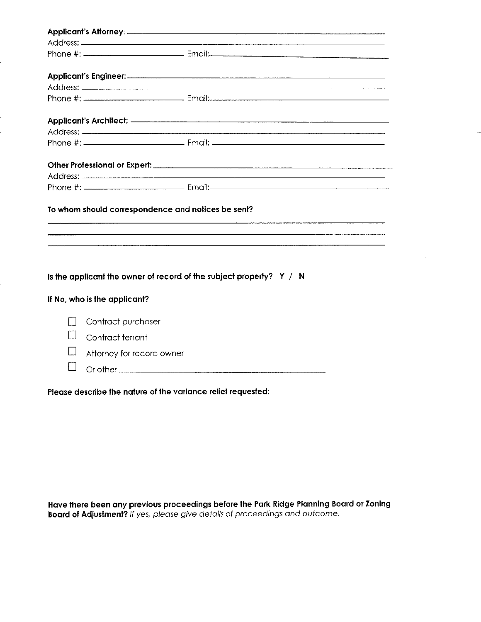| To whom should correspondence and notices be sent?<br>Is the applicant the owner of record of the subject property? Y / N<br>If No, who is the applicant?<br>Contract purchaser<br>$\mathsf{L}$<br>Contract tenant<br>Attorney for record owner |  |
|-------------------------------------------------------------------------------------------------------------------------------------------------------------------------------------------------------------------------------------------------|--|
|                                                                                                                                                                                                                                                 |  |
|                                                                                                                                                                                                                                                 |  |
|                                                                                                                                                                                                                                                 |  |
|                                                                                                                                                                                                                                                 |  |
|                                                                                                                                                                                                                                                 |  |
|                                                                                                                                                                                                                                                 |  |
|                                                                                                                                                                                                                                                 |  |
|                                                                                                                                                                                                                                                 |  |
|                                                                                                                                                                                                                                                 |  |
|                                                                                                                                                                                                                                                 |  |
|                                                                                                                                                                                                                                                 |  |
|                                                                                                                                                                                                                                                 |  |
|                                                                                                                                                                                                                                                 |  |
|                                                                                                                                                                                                                                                 |  |
|                                                                                                                                                                                                                                                 |  |
|                                                                                                                                                                                                                                                 |  |
|                                                                                                                                                                                                                                                 |  |
|                                                                                                                                                                                                                                                 |  |
|                                                                                                                                                                                                                                                 |  |
|                                                                                                                                                                                                                                                 |  |

**Please describe the nature of the variance relief requested:** 

**Have there been any previous proceedings before the Park Ridge Planning Board or Zoning Board of Adjustment?** If yes, *please give details* of *proceedings and outcome.*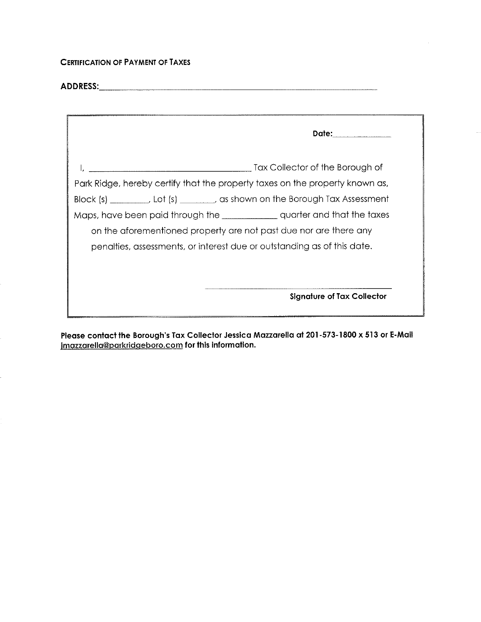# **CERTIFICATION OF PAYMENT OF TAXES**

# **ADDRESS: \_\_\_\_\_\_\_\_\_\_\_\_\_\_\_\_\_\_\_\_\_\_\_ \_**

| Date: ______________                                                          |
|-------------------------------------------------------------------------------|
|                                                                               |
|                                                                               |
| Park Ridge, hereby certify that the property taxes on the property known as,  |
| Block (s) _________, Lot (s) _______, as shown on the Borough Tax Assessment  |
| Maps, have been paid through the _________________ quarter and that the taxes |
| on the aforementioned property are not past due nor are there any             |
| penalties, assessments, or interest due or outstanding as of this date.       |
|                                                                               |
|                                                                               |
| <b>Signature of Tax Collector</b>                                             |
|                                                                               |

**Please contact the Borough's Tax Collector Jessica Mazzarella at 201-573-1800 x 513 or E-Mail jmazzarella@parkridgeboro.com for this information.**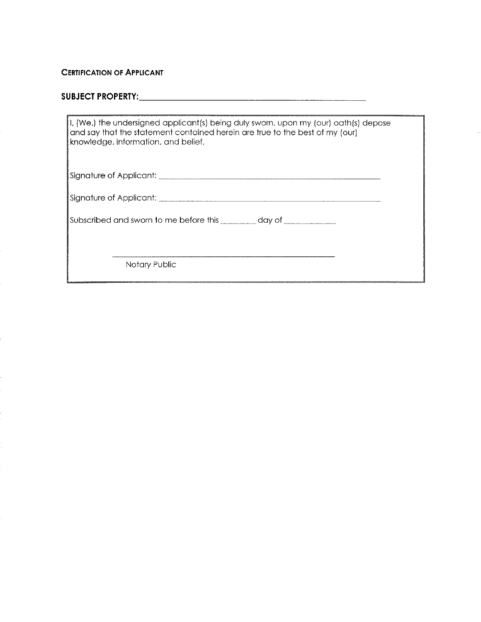## **CERTIFICATION OF APPLICANT**

# **SUBJECT PROPERTY: \_\_\_\_\_\_\_\_\_\_\_\_\_\_\_\_\_\_ \_**

| II, (We,) the undersigned applicant(s) being duly sworn, upon my (our) oath(s) depose<br>and say that the statement contained herein are true to the best of my (our)<br>knowledge, information, and belief. |  |
|--------------------------------------------------------------------------------------------------------------------------------------------------------------------------------------------------------------|--|
|                                                                                                                                                                                                              |  |
|                                                                                                                                                                                                              |  |
| Subscribed and sworn to me before this electronic day of the control of the subscribed and sworn to me before this                                                                                           |  |
|                                                                                                                                                                                                              |  |
| Notary Public                                                                                                                                                                                                |  |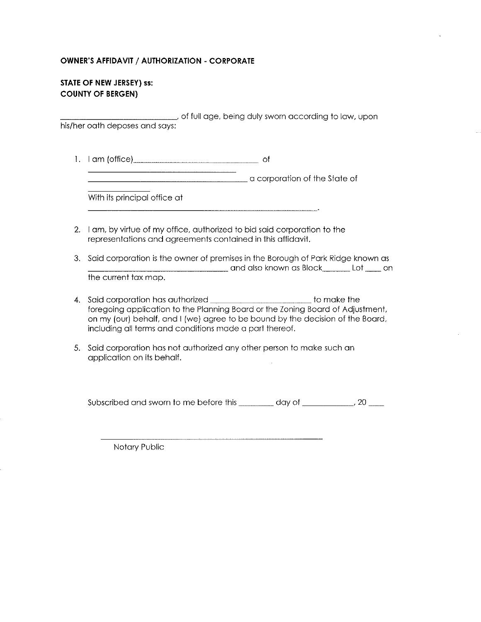#### **OWNER'S AFFIDAVIT/ AUTHORIZATION - CORPORATE**

### **STATE OF NEW JERSEY) ss: COUNTY OF BERGEN)**

-----------~ of full age, being duly sworn according to law, upon his/her oath deposes and says:

l. I am (office) \_\_\_\_\_\_\_\_\_\_\_\_ of \_\_\_\_\_\_\_\_\_\_\_\_\_\_\_\_ a corporation of the State of With its principal office at

- 2. I am, by virtue of my office, authorized to bid said corporation to the representations and agreements contained in this affidavit.
- 3. Said corporation is the owner of premises in the Borough of Park Ridge known as \_\_\_\_\_\_\_\_\_\_\_\_\_\_ and also known as Block \_\_\_ Lot on the current tax map.
- 4. Said corporation has authorized \_\_\_\_\_\_\_\_\_\_ to make the foregoing application to the Planning Board or the Zoning Board of Adjustment, on my (our) behalf, and I (we) agree to be bound by the decision of the Board, including all terms and conditions made a part thereof.
- 5. Said corporation has not authorized any other person to make such an application on its behalf.

Subscribed and sworn to me before this \_\_\_\_\_\_\_ day of \_\_\_\_\_\_\_\_\_\_, 20 \_\_\_

Notary Public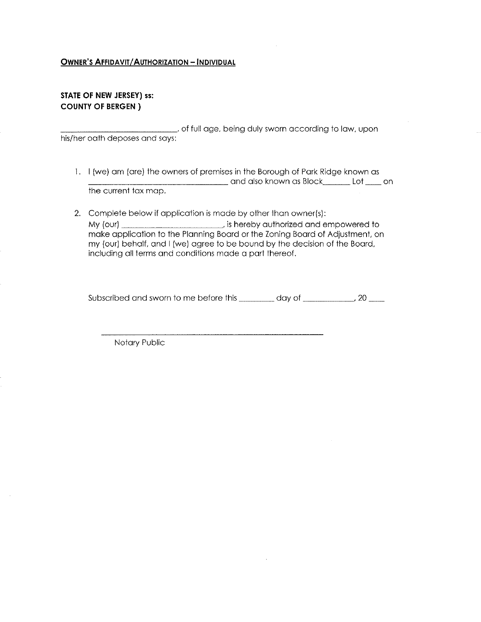#### **OWNER'S AFFIDAVIT/AUTHORIZATION - INDIVIDUAL**

## **STATE OF NEW JERSEY) ss: COUNTY OF BERGEN** )

\_\_\_\_\_\_\_\_\_\_\_\_ , of full age, being duly sworn according to law, upon his/her oath deposes and says:

- 1. I (we) am (are) the owners of premises in the Borough of Park Ridge known as \_\_\_\_\_\_\_\_\_\_\_\_\_\_\_\_\_ and also known as Block \_\_\_\_\_\_\_ Lot \_\_\_\_\_ on the current tax map.
- 2. Complete below if application is made by other than owner(s): My (our) \_\_\_\_\_\_\_\_\_\_ , is hereby authorized and empowered to make application to the Planning Board or the Zoning Board of Adjustment, on my (our) behalf, and I (we) agree to be bound by the decision of the Board, including all terms and conditions made a part thereof.

Subscribed and sworn to me before this \_\_\_\_\_\_\_\_ day of \_\_\_\_\_\_\_\_\_\_\_\_, 20 \_\_\_\_

Notary Public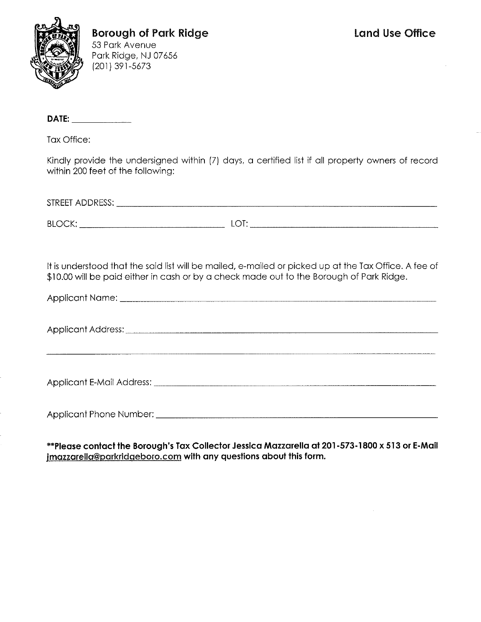

**Borough of Park Ridge**  53 Park Avenue Park Ridge, NJ 07656

(201) 391-5673

**DATE: \_\_\_\_ \_** 

Tax Office:

Kindly provide the undersigned within (7) days, a certified list if all property owners of record within 200 feet of the following:

| STREET ADDRESS: |     |  |
|-----------------|-----|--|
| BLOCK:          | LO. |  |

It is understood that the said list will be mailed, e-mailed or picked up at the Tax Office. A fee of \$10.00 will be paid either in cash or by a check made out to the Borough of Park Ridge.

| <b>Applicant Name:</b> | ______ |
|------------------------|--------|
|------------------------|--------|

Applicant Address: \_\_\_\_\_\_\_\_\_\_\_\_\_\_\_\_\_\_\_\_\_\_\_\_\_\_\_ \_

Applicant E-Mail Address: \_\_\_\_\_\_\_\_\_\_\_\_\_\_\_\_\_\_\_\_\_\_\_\_ \_

Applicant Phone Number: \_\_\_\_\_\_\_\_\_\_\_\_\_\_\_\_\_\_\_\_\_\_\_\_ \_

**\*\*Please contact the Borough's Tax Collector Jessica Mazzarella at 201-573-1800 x 513 or E-Mail imazzarella@parkridgeboro.com with any questions about this form.**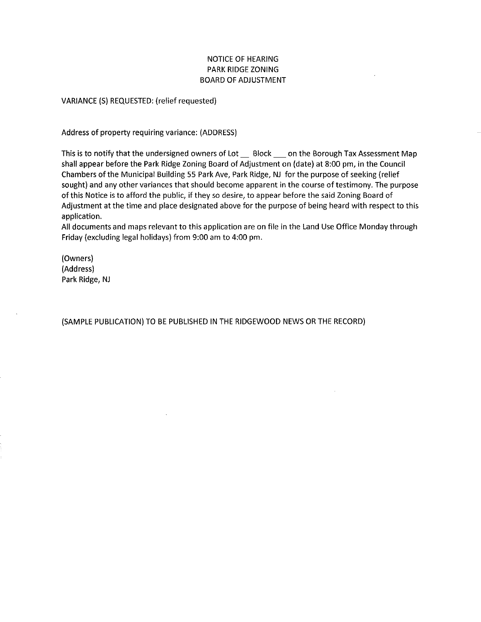### NOTICE OF HEARING PARK RIDGE ZONING BOARD OF ADJUSTMENT

VARIANCE (S) REQUESTED: (relief requested)

Address of property requiring variance: (ADDRESS)

This is to notify that the undersigned owners of Lot \_ Block \_ on the Borough Tax Assessment Map shall appear before the Park Ridge Zoning Board of Adjustment on (date) at 8:00 pm, in the Council Chambers of the Municipal Building 55 Park Ave, Park Ridge, NJ for the purpose of seeking (relief sought) and any other variances that should become apparent in the course of testimony. The purpose of this Notice is to afford the public, if they so desire, to appear before the said Zoning Board of Adjustment at the time and place designated above for the purpose of being heard with respect to this application.

All documents and maps relevant to this application are on file in the land Use Office Monday through Friday (excluding legal holidays) from 9:00 am to 4:00 pm.

(Owners) (Address) Park Ridge, NJ

(SAMPLE PUBLICATION) TO BE PUBLISHED IN THE RIDGEWOOD NEWS OR THE RECORD)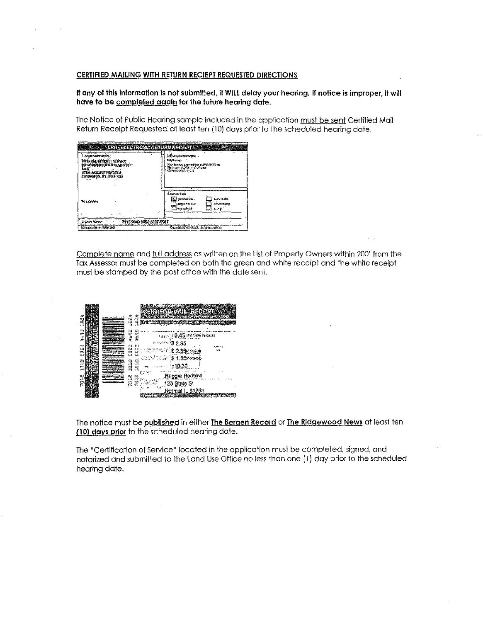#### **CERTIFIED MAILING WITH RETURN RECIEPT REQUESTED DIRECTIONS**

#### **If any of this information is not submitted,** II **WILL delay your hearing. If notice is improper, It will have to be completed again for the future hearing date.**

The Notice of Public Hearing sample included in the application must be sent Certified Mail

|                                                                                                                                                                                                                                                                                                 |                                                                                                                                                                                                                                          | Return Receipt Requested at least ten (10) days prior to the scheduled hearing date. |
|-------------------------------------------------------------------------------------------------------------------------------------------------------------------------------------------------------------------------------------------------------------------------------------------------|------------------------------------------------------------------------------------------------------------------------------------------------------------------------------------------------------------------------------------------|--------------------------------------------------------------------------------------|
| <b>Contract Communication of the Contract Contract Contract Contract Contract Contract Contract Contract Contract</b><br>ERR - ELECTRONIC RETURN RECEPT<br>l nich secondur<br>BUTHING RENEW SERVICE<br>HERENTICUMER HER STOP<br><b>Billi</b><br>ATIM ALS SUFFICIATED.<br>COVERSTOR, BY HOUGHEST | a bayan yang taun 1972. Bu yang bara dalam kalendar dan bayan dan menganjukan penganjukan penganjukan pada sel<br>Debase Contains on<br>Flat Naribat -<br>%) (насыл баруунун к. М.:Атараба)<br>Библага У, Хара тээглэг<br>Сомоосуны стан |                                                                                      |
| THE KINY TONE<br>2116 9042 9550 2837 5567<br>Z Max Hanri                                                                                                                                                                                                                                        | 1. Device Face<br>K. smaller.<br>Lepters Blsk.<br><b>Americanes</b><br>k hanssarkis<br>(小 よやと)<br>$1$ . The section $\sim$                                                                                                               |                                                                                      |
| <b>地址高速度通道</b>                                                                                                                                                                                                                                                                                  | Jour SE2001-25 USS  Jackson Engineers                                                                                                                                                                                                    |                                                                                      |

Complete name and full address as written on the List of Property Owners within 200' from the Tax Assessor must be completed on both the green and white receipt and the white receipt must be stamped by the post office with the date sent.



The notice must be **published** in either **The Bergen Record** or **The Ridgewood News** at least ten **(10) days prior** to the scheduled hearing date,

The "Certification of Service" located in the application must be completed, signed, and notarized and submitted to the Land Use Office no less than one (1) day prior to the scheduled hearing date.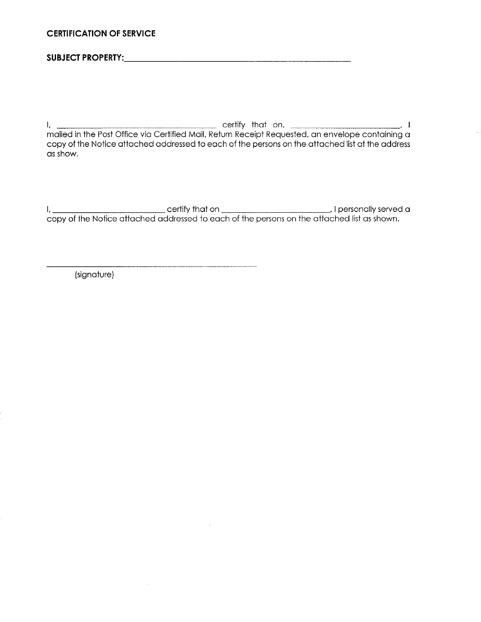### **CERTIFICATION OF SERVICE**

# **SUBJECT PROPERTY: \_\_\_\_\_\_\_\_\_\_\_\_\_\_\_\_\_\_ \_**

I, \_\_\_\_\_\_\_\_\_\_\_\_\_\_\_\_ certify that on, mailed in the Post Office via Certified Mail, Return Receipt Requested, an envelope containing a copy of the Notice attached addressed to each of the persons on the attached list at the address as show.

I, \_\_\_\_\_\_\_\_\_\_\_ certify that on----------~ I personally served a copy of the Notice attached addressed to each of the persons on the attached list as shown.

(signature)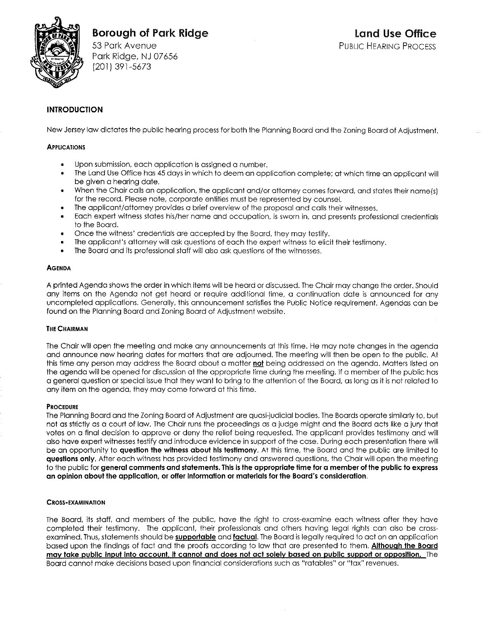

# **Borough of Park Ridge**

53 Park Avenue Park Ridge, NJ 07656 (201) 391-5673

# **INTRODUCTION**

New Jersey law dictates the public hearing process for both the Planning Board and the Zoning Board of Adjustment.

#### **APPLICATIONS**

- Upon submission, each application is assigned a number.
- The Land Use Office has 45 days in which to deem an application complete; at which time an applicant will be given a hearing date.
- When the Chair calls an application, the applicant and/or attorney comes forward, and states their narne(s) for the record. Please note, corporate entities must be represented by counsel.
- The applicant/attorney provides a brief overview of the proposal and calls their witnesses.
- Each expert witness states his/her narne and occupation. is sworn in, and presents professional credentials to the Board.
- Once the witness' credentials are accepted by the Board, they may testify.
- The applicant's attorney will ask questions of each the expert witness to elicit their testimony.
- The Board and its professional staff will also ask questions of the witnesses.

#### **AGENDA**

A printed Agenda shows the order in which iterns will be heard or discussed. The Chair rnay change the order. Should any items on the Agenda not get heard or require additional time, a continuation date is announced for any uncompleted applications. Generally, this announcement satisfies the Public Notice requirement. Agendas can be found on the Planning Board and Zoning Board of Adjustment website.

#### **THE CHAIRMAN**

The Chair will open the meeting and make any announcements at this time. He may note changes in the agenda and announce new hearing dates for matters that are adjourned. The meeting will then be open to the public. At this time any person rnay address the Board about a matter **not** being addressed on the agenda. Matters listed on the agenda will be opened for discussion at the appropriate time during the meeting. If a member of the public has a general question or special issue that they want to bring to the attention of the Board, as long as it is not related to any item on the agenda, they may come forward at this time.

#### **PROCEDURE**

The Planning Board and the Zoning Board of Adjustment are quasi-judicial bodies. The Boards operate similarly to, but not as strictly as a court of law. The Chair runs the proceedings as a judge might and the Board acts like a jury that votes on a final decision to approve or deny the relief being requested. The applicant provides testimony and will also have expert witnesses testify and introduce evidence in support of the case. During each presentation there will be an opportunity to **question the witness about his testimony.** At this tirne. the Board and the public are limited to **questions only.** After each witness has provided testimony and answered questions, the Chair will open the meeting to the public for **general comments and statements. This is the appropriate time for a member of the public to express an opinion about the application, or offer Information or materials for the Board's consideration.** 

#### **CROSS-EXAMINATION**

The Board, its staff, and members of the public, have the right to cross-examine each witness after they have completed their testimony. The applicant, their professionals and others having legal rights can also be crossexamined. Thus, statements should be **supportable** and **factual.** The Board is legally required to act on an application based upon the findings of fact and the proofs according to law that are presented to thern. **Although the Board may take public input Into account. II cannot and does not act solely based on public support or opposition.** The Board cannot make decisions based upon financial considerations such as "ratables" or "tax" revenues.